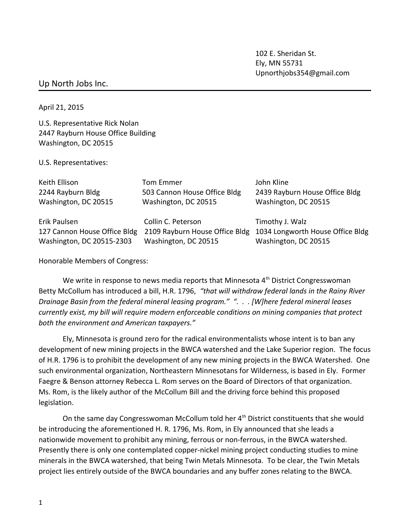102 E. Sheridan St. Ely, MN 55731 Upnorthjobs354@gmail.com

## Up North Jobs Inc.

April 21, 2015

U.S. Representative Rick Nolan 2447 Rayburn House Office Building Washington, DC 20515

U.S. Representatives:

| Keith Ellison                | Tom Emmer                      | John Kline                       |
|------------------------------|--------------------------------|----------------------------------|
| 2244 Rayburn Bldg            | 503 Cannon House Office Bldg   | 2439 Rayburn House Office Bldg   |
| Washington, DC 20515         | Washington, DC 20515           | Washington, DC 20515             |
|                              |                                |                                  |
| Erik Paulsen                 | Collin C. Peterson             | Timothy J. Walz                  |
| 127 Cannon House Office Bldg | 2109 Rayburn House Office Bldg | 1034 Longworth House Office Bldg |
|                              |                                |                                  |

Honorable Members of Congress:

We write in response to news media reports that Minnesota  $4<sup>th</sup>$  District Congresswoman Betty McCollum has introduced a bill, H.R. 1796, *"that will withdraw federal lands in the Rainy River Drainage Basin from the federal mineral leasing program." ". . . [W]here federal mineral leases currently exist, my bill will require modern enforceable conditions on mining companies that protect both the environment and American taxpayers."*

Ely, Minnesota is ground zero for the radical environmentalists whose intent is to ban any development of new mining projects in the BWCA watershed and the Lake Superior region. The focus of H.R. 1796 is to prohibit the development of any new mining projects in the BWCA Watershed. One such environmental organization, Northeastern Minnesotans for Wilderness, is based in Ely. Former Faegre & Benson attorney Rebecca L. Rom serves on the Board of Directors of that organization. Ms. Rom, is the likely author of the McCollum Bill and the driving force behind this proposed legislation.

On the same day Congresswoman McCollum told her 4<sup>th</sup> District constituents that she would be introducing the aforementioned H. R. 1796, Ms. Rom, in Ely announced that she leads a nationwide movement to prohibit any mining, ferrous or non-ferrous, in the BWCA watershed. Presently there is only one contemplated copper-nickel mining project conducting studies to mine minerals in the BWCA watershed, that being Twin Metals Minnesota. To be clear, the Twin Metals project lies entirely outside of the BWCA boundaries and any buffer zones relating to the BWCA.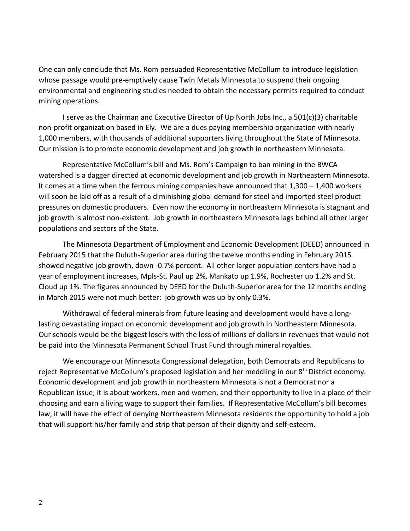One can only conclude that Ms. Rom persuaded Representative McCollum to introduce legislation whose passage would pre-emptively cause Twin Metals Minnesota to suspend their ongoing environmental and engineering studies needed to obtain the necessary permits required to conduct mining operations.

I serve as the Chairman and Executive Director of Up North Jobs Inc., a 501(c)(3) charitable non-profit organization based in Ely. We are a dues paying membership organization with nearly 1,000 members, with thousands of additional supporters living throughout the State of Minnesota. Our mission is to promote economic development and job growth in northeastern Minnesota.

Representative McCollum's bill and Ms. Rom's Campaign to ban mining in the BWCA watershed is a dagger directed at economic development and job growth in Northeastern Minnesota. It comes at a time when the ferrous mining companies have announced that 1,300 – 1,400 workers will soon be laid off as a result of a diminishing global demand for steel and imported steel product pressures on domestic producers. Even now the economy in northeastern Minnesota is stagnant and job growth is almost non-existent. Job growth in northeastern Minnesota lags behind all other larger populations and sectors of the State.

The Minnesota Department of Employment and Economic Development (DEED) announced in February 2015 that the Duluth-Superior area during the twelve months ending in February 2015 showed negative job growth, down -0.7% percent. All other larger population centers have had a year of employment increases, Mpls-St. Paul up 2%, Mankato up 1.9%, Rochester up 1.2% and St. Cloud up 1%. The figures announced by DEED for the Duluth-Superior area for the 12 months ending in March 2015 were not much better: job growth was up by only 0.3%.

Withdrawal of federal minerals from future leasing and development would have a longlasting devastating impact on economic development and job growth in Northeastern Minnesota. Our schools would be the biggest losers with the loss of millions of dollars in revenues that would not be paid into the Minnesota Permanent School Trust Fund through mineral royalties.

We encourage our Minnesota Congressional delegation, both Democrats and Republicans to reject Representative McCollum's proposed legislation and her meddling in our 8<sup>th</sup> District economy. Economic development and job growth in northeastern Minnesota is not a Democrat nor a Republican issue; it is about workers, men and women, and their opportunity to live in a place of their choosing and earn a living wage to support their families. If Representative McCollum's bill becomes law, it will have the effect of denying Northeastern Minnesota residents the opportunity to hold a job that will support his/her family and strip that person of their dignity and self-esteem.